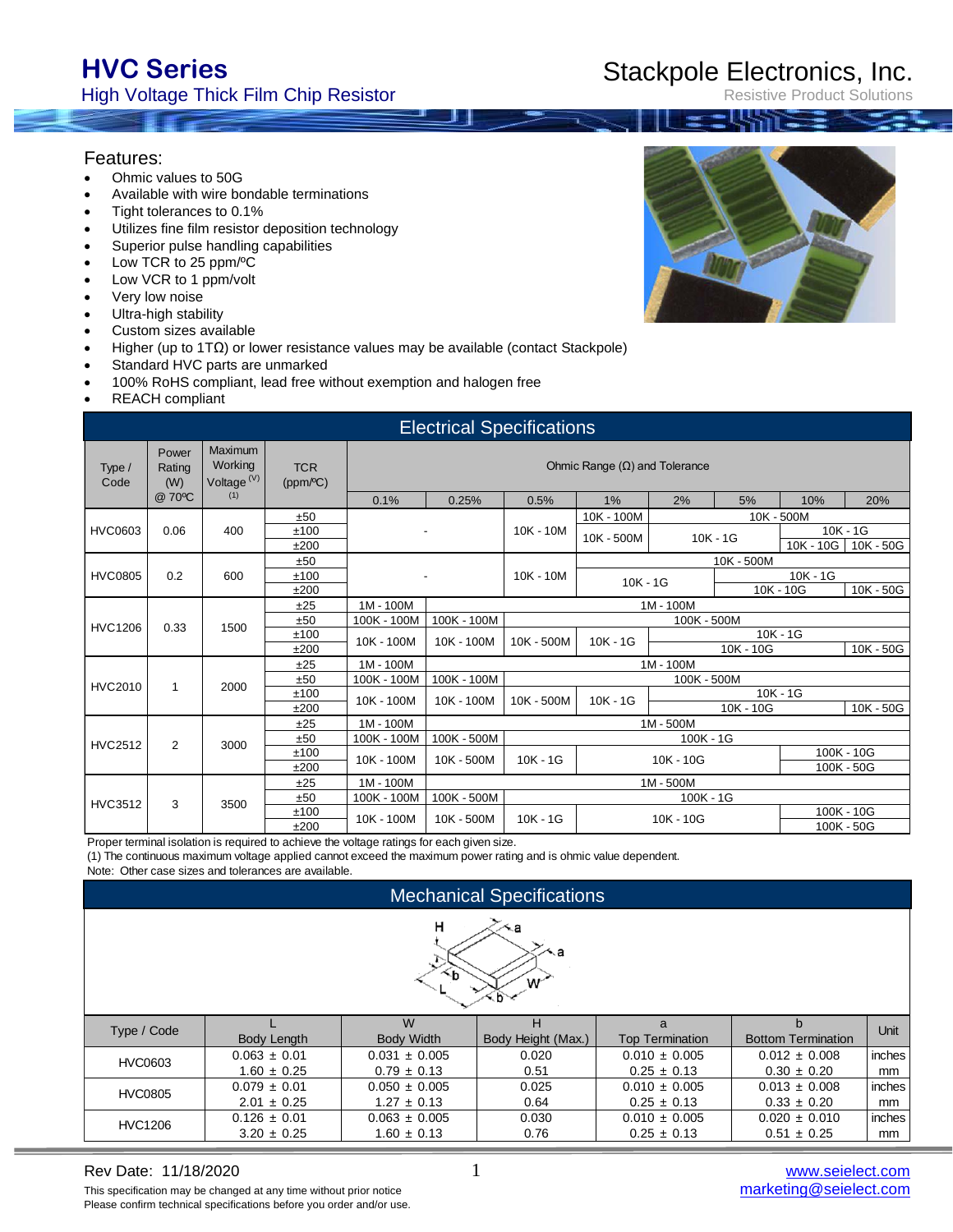# **HVC Series**

### High Voltage Thick Film Chip Resistor

# Stackpole Electronics, Inc.

Resistive Product Solutions

#### Features:

- Ohmic values to 50G
- Available with wire bondable terminations
- Tight tolerances to 0.1%
- Utilizes fine film resistor deposition technology
- Superior pulse handling capabilities
- Low TCR to 25 ppm/ºC
- Low VCR to 1 ppm/volt
- Very low noise
- Ultra-high stability
- Custom sizes available
- Higher (up to 1TΩ) or lower resistance values may be available (contact Stackpole)
- Standard HVC parts are unmarked
- 100% RoHS compliant, lead free without exemption and halogen free
- REACH compliant

|                | <b>Electrical Specifications</b> |                                              |                        |                                      |                |             |             |             |            |            |            |            |
|----------------|----------------------------------|----------------------------------------------|------------------------|--------------------------------------|----------------|-------------|-------------|-------------|------------|------------|------------|------------|
| Type /<br>Code | Power<br>Rating<br>(W)           | Maximum<br>Working<br>Voltage <sup>(V)</sup> | <b>TCR</b><br>(ppm/°C) | Ohmic Range $(\Omega)$ and Tolerance |                |             |             |             |            |            |            |            |
|                | @ 70°C                           | (1)                                          |                        | 0.1%                                 | 0.25%          | 0.5%        | 1%          | 2%          | 5%         | 10%        | 20%        |            |
|                |                                  |                                              | ±50                    |                                      |                |             | 10K - 100M  |             | 10K - 500M |            |            |            |
| <b>HVC0603</b> | 0.06                             | 400                                          | ±100                   |                                      | $\blacksquare$ | $10K - 10M$ | 10K - 500M  | $10K - 1G$  |            |            | $10K - 1G$ |            |
|                |                                  |                                              | ±200                   |                                      |                |             |             |             |            | 10K - 10G  | 10K - 50G  |            |
|                |                                  |                                              | ±50                    |                                      |                |             |             |             | 10K - 500M |            |            |            |
| <b>HVC0805</b> | 0.2                              | 600                                          | ±100                   |                                      | $\blacksquare$ | $10K - 10M$ | $10K - 1G$  |             |            | $10K - 1G$ |            |            |
|                |                                  |                                              | ±200                   |                                      |                |             |             |             |            | 10K - 10G  | 10K - 50G  |            |
|                |                                  |                                              | ±25                    | $1M - 100M$                          | 1M - 100M      |             |             |             |            |            |            |            |
| <b>HVC1206</b> | 0.33                             | 1500                                         | ±50                    | 100K - 100M                          | 100K - 100M    |             | 100K - 500M |             |            |            |            |            |
|                |                                  |                                              | ±100                   | 10K - 100M                           | 10K - 100M     | 10K - 500M  | $10K - 1G$  |             |            | $10K - 1G$ |            |            |
|                |                                  |                                              | ±200                   |                                      |                |             |             |             | 10K - 10G  |            | 10K - 50G  |            |
|                |                                  |                                              | ±25                    | 1M - 100M                            |                |             |             | 1M - 100M   |            |            |            |            |
| <b>HVC2010</b> | 1                                | 2000                                         | ±50                    | 100K - 100M                          | 100K - 100M    |             |             | 100K - 500M |            |            |            |            |
|                |                                  |                                              | ±100                   | 10K - 100M                           | 10K - 100M     | 10K - 500M  | $10K - 1G$  | $10K - 1G$  |            |            |            |            |
|                |                                  |                                              | ±200                   |                                      |                |             |             |             | 10K - 10G  |            | 10K - 50G  |            |
|                |                                  |                                              | ±25                    | $1M - 100M$                          |                |             |             | 1M-500M     |            |            |            |            |
| <b>HVC2512</b> | $\overline{2}$                   | 3000                                         | ±50                    | 100K - 100M                          | 100K - 500M    |             |             | 100K - 1G   |            |            |            |            |
|                |                                  |                                              | ±100                   | 10K - 100M                           | 10K - 500M     | $10K - 1G$  | 10K - 10G   |             |            | 100K - 10G |            |            |
|                |                                  |                                              | ±200                   |                                      |                |             |             |             |            |            | 100K - 50G |            |
|                |                                  |                                              | ±25                    | 1M-100M                              |                |             |             | 1M-500M     |            |            |            |            |
| <b>HVC3512</b> | 3                                | 3500                                         | ±50                    | 100K - 100M                          | 100K - 500M    |             |             | $100K - 1G$ |            |            |            |            |
|                |                                  |                                              | ±100                   | 10K - 100M                           | 10K - 500M     | $10K - 1G$  |             | 10K - 10G   |            |            | 100K - 10G |            |
|                |                                  |                                              |                        | ±200                                 |                |             |             |             |            |            |            | 100K - 50G |

Proper terminal isolation is required to achieve the voltage ratings for each given size.

(1) The continuous maximum voltage applied cannot exceed the maximum power rating and is ohmic value dependent.

Note: Other case sizes and tolerances are available.

| <b>Mechanical Specifications</b> |                    |                        |                         |                             |                                |        |  |  |
|----------------------------------|--------------------|------------------------|-------------------------|-----------------------------|--------------------------------|--------|--|--|
| н<br>∕≺a<br>×а<br>$\sim$ b<br>w  |                    |                        |                         |                             |                                |        |  |  |
| Type / Code                      | <b>Body Length</b> | W<br><b>Body Width</b> | н<br>Body Height (Max.) | a<br><b>Top Termination</b> | h<br><b>Bottom Termination</b> | Unit   |  |  |
| HVC0603                          | $0.063 \pm 0.01$   | $0.031 \pm 0.005$      | 0.020                   | $0.010 \pm 0.005$           | $0.012 \pm 0.008$              | inches |  |  |
|                                  | $1.60 \pm 0.25$    | $0.79 \pm 0.13$        | 0.51                    | $0.25 \pm 0.13$             | $0.30 \pm 0.20$                | mm     |  |  |
| <b>HVC0805</b>                   | $0.079 \pm 0.01$   | $0.050 \pm 0.005$      | 0.025                   | $0.010 \pm 0.005$           | $0.013 \pm 0.008$              | inches |  |  |
|                                  | $2.01 \pm 0.25$    | $1.27 \pm 0.13$        | 0.64                    | $0.25 \pm 0.13$             | $0.33 \pm 0.20$                | mm     |  |  |
| <b>HVC1206</b>                   | $0.126 \pm 0.01$   | $0.063 \pm 0.005$      | 0.030                   | $0.010 \pm 0.005$           | $0.020 \pm 0.010$              | inches |  |  |
|                                  | $3.20 \pm 0.25$    | $1.60 \pm 0.13$        | 0.76                    | $0.25 \pm 0.13$             | $0.51 \pm 0.25$                | mm     |  |  |

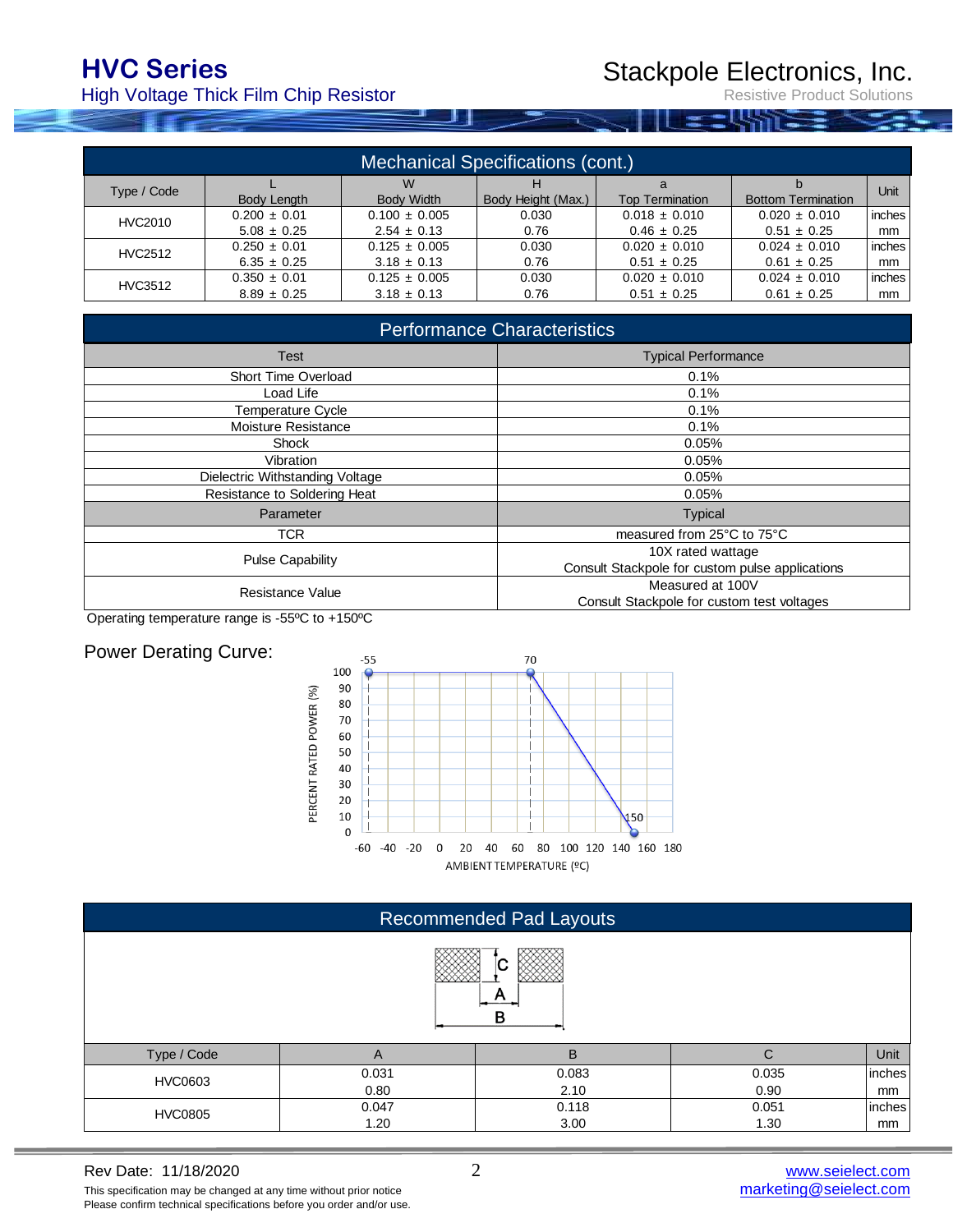# **HVC Series**

High Voltage Thick Film Chip Resistor

Stackpole Electronics, Inc.

Resistive Product Solutions

| <b>Mechanical Specifications (cont.)</b> |                    |                   |                    |                        |                           |               |  |  |
|------------------------------------------|--------------------|-------------------|--------------------|------------------------|---------------------------|---------------|--|--|
| Type / Code                              |                    | W                 | н                  | a                      |                           | <b>Unit</b>   |  |  |
|                                          | <b>Body Length</b> | <b>Body Width</b> | Body Height (Max.) | <b>Top Termination</b> | <b>Bottom Termination</b> |               |  |  |
| HVC2010                                  | $0.200 \pm 0.01$   | $0.100 \pm 0.005$ | 0.030              | $0.018 \pm 0.010$      | $0.020 \pm 0.010$         | inches        |  |  |
|                                          | $5.08 \pm 0.25$    | $2.54 \pm 0.13$   | 0.76               | $0.46 \pm 0.25$        | $0.51 \pm 0.25$           | mm            |  |  |
| HVC2512                                  | $0.250 \pm 0.01$   | $0.125 \pm 0.005$ | 0.030              | $0.020 \pm 0.010$      | $0.024 \pm 0.010$         | inches        |  |  |
|                                          | $6.35 \pm 0.25$    | $3.18 \pm 0.13$   | 0.76               | $0.51 \pm 0.25$        | $0.61 \pm 0.25$           | mm            |  |  |
| HVC3512                                  | $0.350 \pm 0.01$   | $0.125 \pm 0.005$ | 0.030              | $0.020 \pm 0.010$      | $0.024 \pm 0.010$         | inches        |  |  |
|                                          | $8.89 \pm 0.25$    | $3.18 \pm 0.13$   | 0.76               | $0.51 \pm 0.25$        | $0.61 \pm 0.25$           | <sub>mm</sub> |  |  |

| <b>Performance Characteristics</b> |                                                 |  |  |  |  |
|------------------------------------|-------------------------------------------------|--|--|--|--|
| <b>Test</b>                        | <b>Typical Performance</b>                      |  |  |  |  |
| Short Time Overload                | 0.1%                                            |  |  |  |  |
| Load Life                          | 0.1%                                            |  |  |  |  |
| Temperature Cycle                  | 0.1%                                            |  |  |  |  |
| Moisture Resistance                | 0.1%                                            |  |  |  |  |
| Shock                              | 0.05%                                           |  |  |  |  |
| Vibration                          | 0.05%                                           |  |  |  |  |
| Dielectric Withstanding Voltage    | 0.05%                                           |  |  |  |  |
| Resistance to Soldering Heat       | 0.05%                                           |  |  |  |  |
| Parameter                          | <b>Typical</b>                                  |  |  |  |  |
| <b>TCR</b>                         | measured from 25°C to 75°C                      |  |  |  |  |
| <b>Pulse Capability</b>            | 10X rated wattage                               |  |  |  |  |
|                                    | Consult Stackpole for custom pulse applications |  |  |  |  |
| Resistance Value                   | Measured at 100V                                |  |  |  |  |
|                                    | Consult Stackpole for custom test voltages      |  |  |  |  |

Operating temperature range is -55ºC to +150ºC

#### Power Derating Curve:



|                | <b>Recommended Pad Layouts</b> |               |               |              |  |  |  |  |
|----------------|--------------------------------|---------------|---------------|--------------|--|--|--|--|
| IС<br>в        |                                |               |               |              |  |  |  |  |
| Type / Code    | A                              | B             | C             | Unit         |  |  |  |  |
| <b>HVC0603</b> | 0.031<br>0.80                  | 0.083<br>2.10 | 0.035<br>0.90 | inches<br>mm |  |  |  |  |
| <b>HVC0805</b> | 0.047<br>1.20                  | 0.118<br>3.00 | 0.051<br>1.30 | inches<br>mm |  |  |  |  |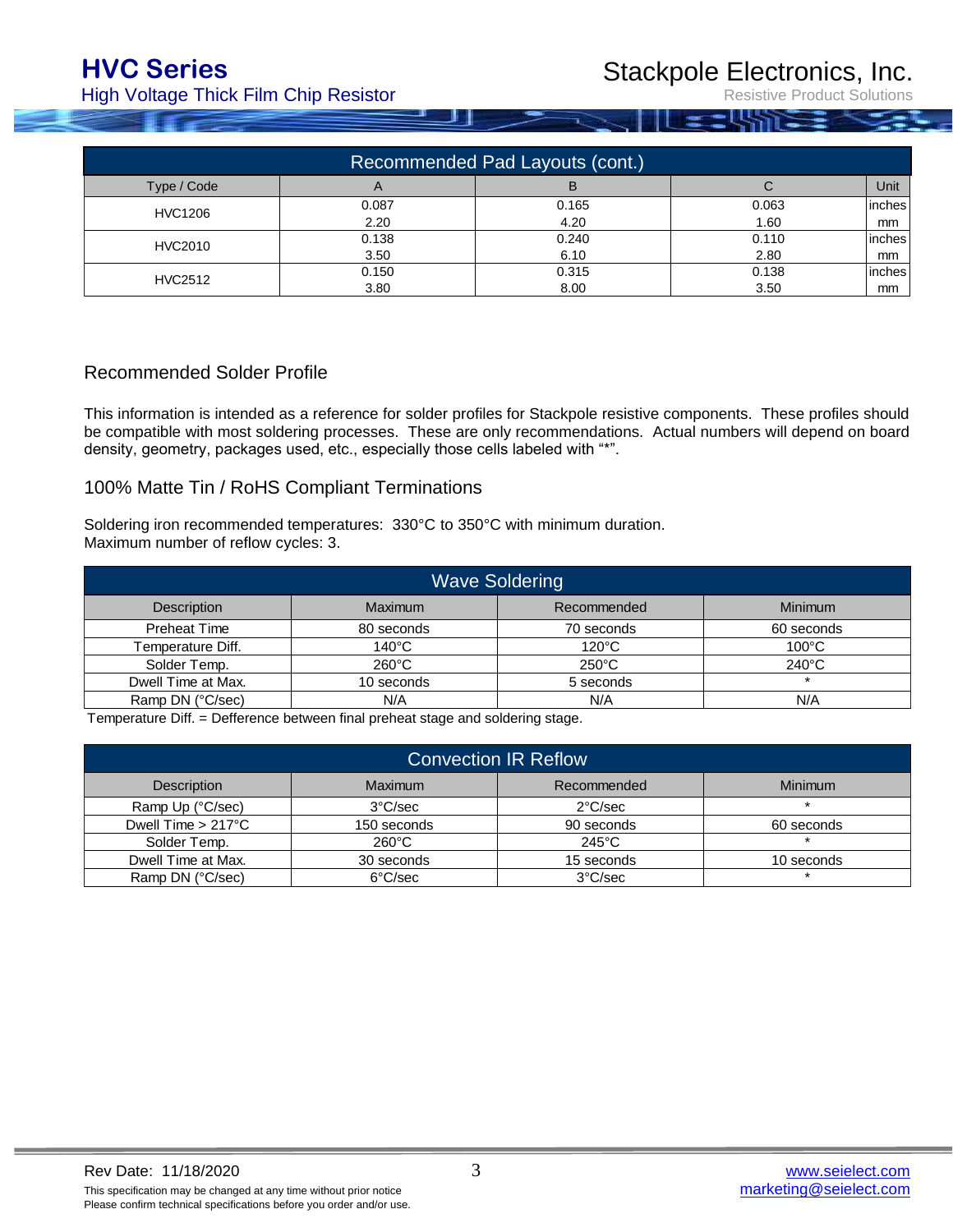High Voltage Thick Film Chip Resistor

Stackpole Electronics, Inc.

Resistive Product Solutions

| Recommended Pad Layouts (cont.) |            |       |       |        |  |  |  |
|---------------------------------|------------|-------|-------|--------|--|--|--|
| Type / Code                     | $\sqrt{ }$ | в     |       | Unit   |  |  |  |
| <b>HVC1206</b>                  | 0.087      | 0.165 | 0.063 | inches |  |  |  |
|                                 | 2.20       | 4.20  | 1.60  | mm     |  |  |  |
| <b>HVC2010</b>                  | 0.138      | 0.240 | 0.110 | inches |  |  |  |
|                                 | 3.50       | 6.10  | 2.80  | mm     |  |  |  |
| <b>HVC2512</b>                  | 0.150      | 0.315 | 0.138 | inches |  |  |  |
|                                 | 3.80       | 8.00  | 3.50  | mm     |  |  |  |

#### Recommended Solder Profile

This information is intended as a reference for solder profiles for Stackpole resistive components. These profiles should be compatible with most soldering processes. These are only recommendations. Actual numbers will depend on board density, geometry, packages used, etc., especially those cells labeled with "\*".

#### 100% Matte Tin / RoHS Compliant Terminations

Soldering iron recommended temperatures: 330°C to 350°C with minimum duration. Maximum number of reflow cycles: 3.

| <b>Wave Soldering</b> |                 |                 |                 |  |  |  |  |
|-----------------------|-----------------|-----------------|-----------------|--|--|--|--|
| <b>Description</b>    | Maximum         | Recommended     | <b>Minimum</b>  |  |  |  |  |
| <b>Preheat Time</b>   | 80 seconds      | 70 seconds      | 60 seconds      |  |  |  |  |
| Temperature Diff.     | $140^{\circ}$ C | $120^{\circ}$ C | $100^{\circ}$ C |  |  |  |  |
| Solder Temp.          | $260^{\circ}$ C | $250^{\circ}$ C | $240^{\circ}$ C |  |  |  |  |
| Dwell Time at Max.    | 10 seconds      | 5 seconds       |                 |  |  |  |  |
| Ramp DN (°C/sec)      | N/A             | N/A             | N/A             |  |  |  |  |

Temperature Diff. = Defference between final preheat stage and soldering stage.

| <b>Convection IR Reflow</b>  |                   |                   |                |  |  |  |
|------------------------------|-------------------|-------------------|----------------|--|--|--|
| Description                  | Maximum           | Recommended       | <b>Minimum</b> |  |  |  |
| Ramp Up (°C/sec)             | $3^{\circ}$ C/sec | $2^{\circ}$ C/sec |                |  |  |  |
| Dwell Time $> 217^{\circ}$ C | 150 seconds       | 90 seconds        | 60 seconds     |  |  |  |
| Solder Temp.                 | $260^{\circ}$ C   | $245^{\circ}$ C   |                |  |  |  |
| Dwell Time at Max.           | 30 seconds        | 15 seconds        | 10 seconds     |  |  |  |
| Ramp DN (°C/sec)             | 6°C/sec           | $3^{\circ}$ C/sec |                |  |  |  |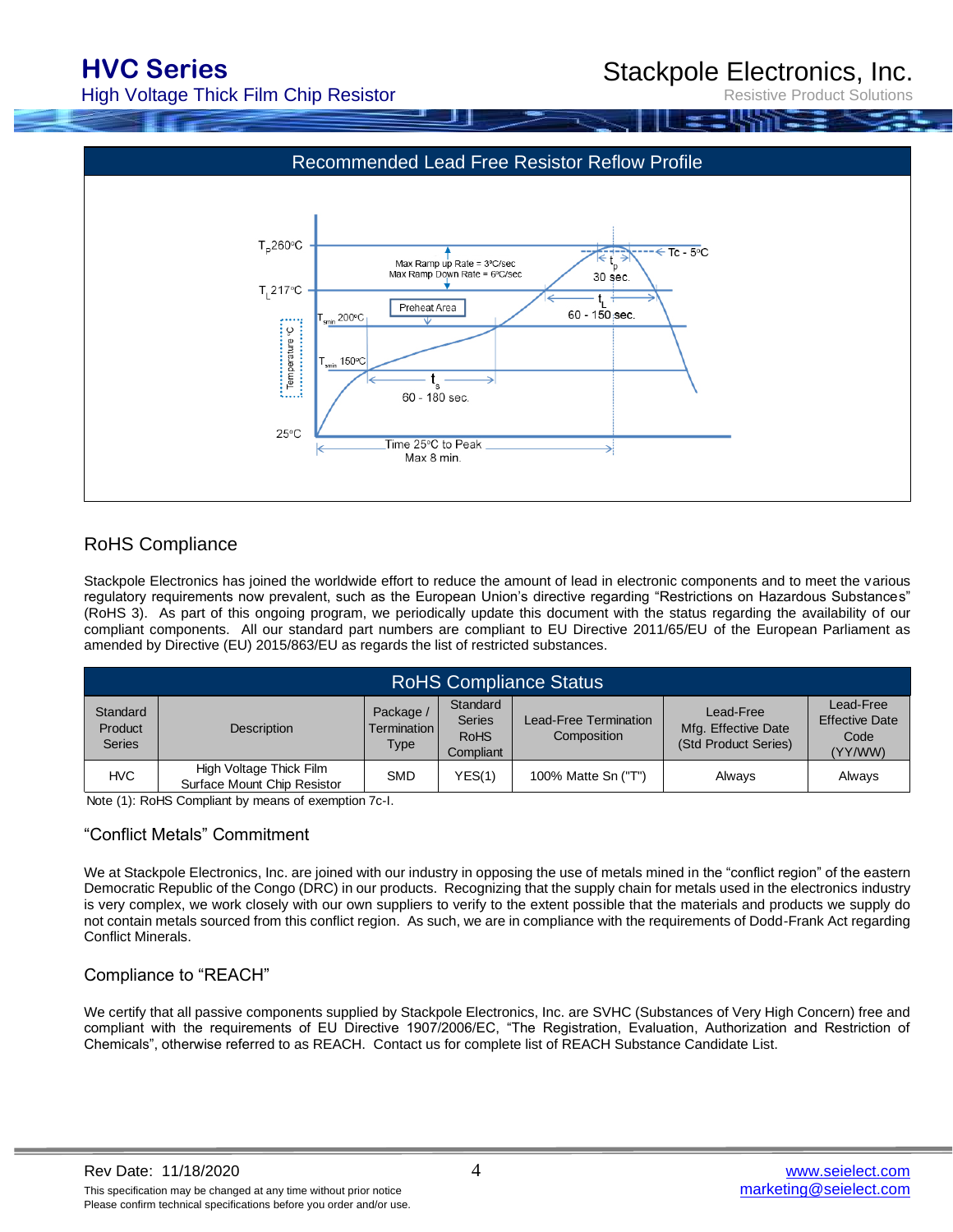## **HVC Series**

High Voltage Thick Film Chip Resistor

## Stackpole Electronics, Inc.

Resistive Product Solutions



### RoHS Compliance

Stackpole Electronics has joined the worldwide effort to reduce the amount of lead in electronic components and to meet the various regulatory requirements now prevalent, such as the European Union's directive regarding "Restrictions on Hazardous Substances" (RoHS 3). As part of this ongoing program, we periodically update this document with the status regarding the availability of our compliant components. All our standard part numbers are compliant to EU Directive 2011/65/EU of the European Parliament as amended by Directive (EU) 2015/863/EU as regards the list of restricted substances.

| <b>RoHS Compliance Status</b>        |                                                        |                                           |                                                       |                                      |                                                          |                                                       |  |  |
|--------------------------------------|--------------------------------------------------------|-------------------------------------------|-------------------------------------------------------|--------------------------------------|----------------------------------------------------------|-------------------------------------------------------|--|--|
| Standard<br>Product<br><b>Series</b> | Description                                            | Package /<br>Termination I<br><b>Type</b> | Standard<br><b>Series</b><br><b>RoHS</b><br>Compliant | Lead-Free Termination<br>Composition | Lead-Free<br>Mfg. Effective Date<br>(Std Product Series) | Lead-Free<br><b>Effective Date</b><br>Code<br>(YY/WW) |  |  |
| <b>HVC</b>                           | High Voltage Thick Film<br>Surface Mount Chip Resistor | <b>SMD</b>                                | YES(1)                                                | 100% Matte Sn ("T")                  | Alwavs                                                   | Always                                                |  |  |

Note (1): RoHS Compliant by means of exemption 7c-I.

#### "Conflict Metals" Commitment

We at Stackpole Electronics, Inc. are joined with our industry in opposing the use of metals mined in the "conflict region" of the eastern Democratic Republic of the Congo (DRC) in our products. Recognizing that the supply chain for metals used in the electronics industry is very complex, we work closely with our own suppliers to verify to the extent possible that the materials and products we supply do not contain metals sourced from this conflict region. As such, we are in compliance with the requirements of Dodd-Frank Act regarding Conflict Minerals.

### Compliance to "REACH"

We certify that all passive components supplied by Stackpole Electronics, Inc. are SVHC (Substances of Very High Concern) free and compliant with the requirements of EU Directive 1907/2006/EC, "The Registration, Evaluation, Authorization and Restriction of Chemicals", otherwise referred to as REACH. Contact us for complete list of REACH Substance Candidate List.